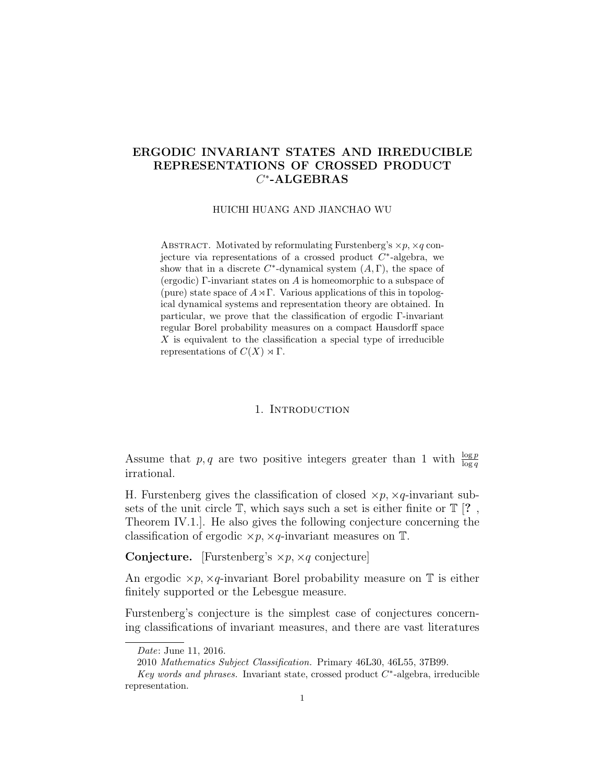# ERGODIC INVARIANT STATES AND IRREDUCIBLE REPRESENTATIONS OF CROSSED PRODUCT  $C^*$ -ALGEBRAS

HUICHI HUANG AND JIANCHAO WU

ABSTRACT. Motivated by reformulating Furstenberg's  $\times p$ ,  $\times q$  conjecture via representations of a crossed product  $C^*$ -algebra, we show that in a discrete  $C^*$ -dynamical system  $(A, \Gamma)$ , the space of (ergodic) Γ-invariant states on A is homeomorphic to a subspace of (pure) state space of  $A \rtimes \Gamma$ . Various applications of this in topological dynamical systems and representation theory are obtained. In particular, we prove that the classification of ergodic Γ-invariant regular Borel probability measures on a compact Hausdorff space  $X$  is equivalent to the classification a special type of irreducible representations of  $C(X) \rtimes \Gamma$ .

### 1. INTRODUCTION

Assume that p, q are two positive integers greater than 1 with  $\frac{\log p}{\log q}$ irrational.

H. Furstenberg gives the classification of closed  $\times p$ ,  $\times q$ -invariant subsets of the unit circle  $\mathbb{T}$ , which says such a set is either finite or  $\mathbb{T}$  [?, Theorem IV.1.]. He also gives the following conjecture concerning the classification of ergodic  $\times p$ ,  $\times q$ -invariant measures on  $\mathbb{T}$ .

**Conjecture.** [Furstenberg's  $\times p$ ,  $\times q$  conjecture]

An ergodic  $\times p$ ,  $\times q$ -invariant Borel probability measure on  $\mathbb T$  is either finitely supported or the Lebesgue measure.

Furstenberg's conjecture is the simplest case of conjectures concerning classifications of invariant measures, and there are vast literatures

Date: June 11, 2016.

<sup>2010</sup> Mathematics Subject Classification. Primary 46L30, 46L55, 37B99.

Key words and phrases. Invariant state, crossed product  $C^*$ -algebra, irreducible representation.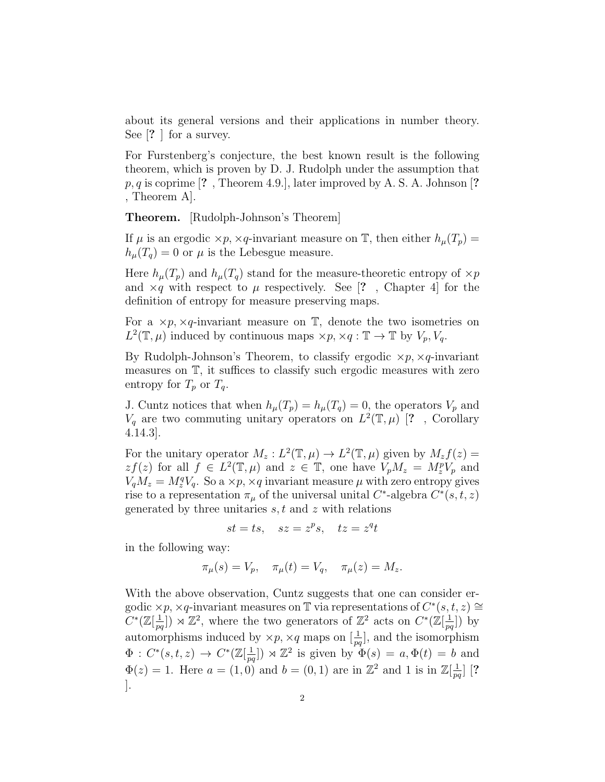about its general versions and their applications in number theory. See [? ] for a survey.

For Furstenberg's conjecture, the best known result is the following theorem, which is proven by D. J. Rudolph under the assumption that  $p, q$  is coprime [?, Theorem 4.9.], later improved by A. S. A. Johnson [?] , Theorem A].

Theorem. [Rudolph-Johnson's Theorem]

If  $\mu$  is an ergodic  $\times p$ ,  $\times q$ -invariant measure on  $\mathbb{T}$ , then either  $h_{\mu}(T_p)$  =  $h_u(T_q) = 0$  or  $\mu$  is the Lebesgue measure.

Here  $h_{\mu}(T_p)$  and  $h_{\mu}(T_q)$  stand for the measure-theoretic entropy of  $\times p$ and  $\times q$  with respect to  $\mu$  respectively. See [?, Chapter 4] for the definition of entropy for measure preserving maps.

For a  $\times p$ ,  $\times q$ -invariant measure on  $\mathbb{T}$ , denote the two isometries on  $L^2(\mathbb{T}, \mu)$  induced by continuous maps  $\times p$ ,  $\times q : \mathbb{T} \to \mathbb{T}$  by  $V_p$ ,  $V_q$ .

By Rudolph-Johnson's Theorem, to classify ergodic  $\times p$ ,  $\times q$ -invariant measures on T, it suffices to classify such ergodic measures with zero entropy for  $T_p$  or  $T_q$ .

J. Cuntz notices that when  $h_{\mu}(T_p) = h_{\mu}(T_q) = 0$ , the operators  $V_p$  and  $V_q$  are two commuting unitary operators on  $L^2(\mathbb{T},\mu)$  [?, Corollary 4.14.3].

For the unitary operator  $M_z: L^2(\mathbb{T}, \mu) \to L^2(\mathbb{T}, \mu)$  given by  $M_z f(z) =$  $zf(z)$  for all  $f \in L^2(\mathbb{T}, \mu)$  and  $z \in \mathbb{T}$ , one have  $V_pM_z = M_z^pV_p$  and  $V_q M_z = M_z^q V_q$ . So a  $\times p$ ,  $\times q$  invariant measure  $\mu$  with zero entropy gives rise to a representation  $\pi_{\mu}$  of the universal unital C<sup>\*</sup>-algebra  $C^*(s,t,z)$ generated by three unitaries  $s, t$  and  $z$  with relations

 $st = ts, \quad sz = z^p s, \quad tz = z^q t$ 

in the following way:

$$
\pi_{\mu}(s) = V_p, \quad \pi_{\mu}(t) = V_q, \quad \pi_{\mu}(z) = M_z.
$$

With the above observation, Cuntz suggests that one can consider ergodic  $\times p$ ,  $\times q$ -invariant measures on T via representations of  $C^*(s,t,z) \cong$  $C^*(\mathbb{Z}[\frac{1}{n}]$  $\frac{1}{pq}$ )  $\rtimes \mathbb{Z}^2$ , where the two generators of  $\mathbb{Z}^2$  acts on  $C^*(\mathbb{Z}[\frac{1}{pq}])$  $\frac{1}{pq}$ ) by automorphisms induced by  $\times p$ ,  $\times q$  maps on  $\left[\frac{1}{pq}\right]$ , and the isomorphism  $\Phi: C^*(s,t,z) \to C^*(\mathbb{Z}[\frac{1}{m}$  $\frac{1}{pq}$ )  $\rtimes \mathbb{Z}^2$  is given by  $\Phi(s) = a, \Phi(t) = b$  and  $\Phi(z) = 1$ . Here  $a = (1,0)$  and  $b = (0,1)$  are in  $\mathbb{Z}^2$  and 1 is in  $\mathbb{Z}[\frac{1}{n}]$  $\frac{1}{pq} ]$   $[ ?$ ].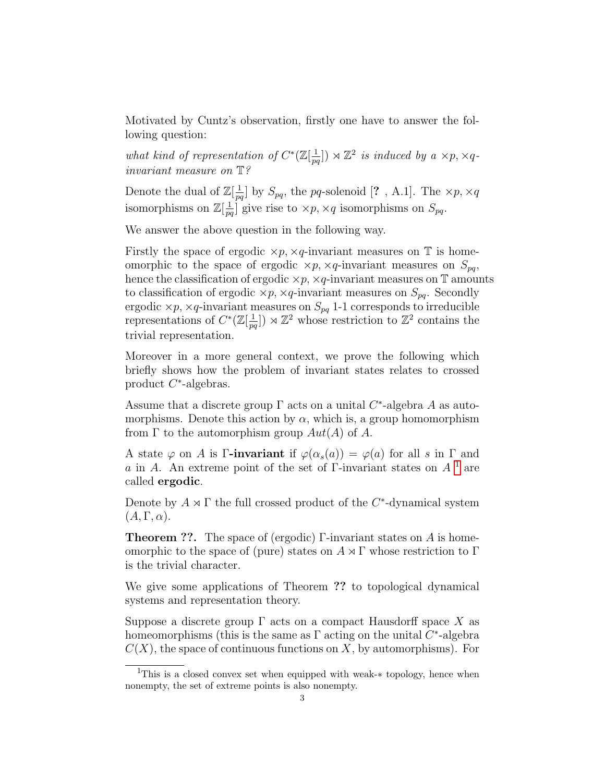Motivated by Cuntz's observation, firstly one have to answer the following question:

what kind of representation of  $C^*(\mathbb{Z})\frac{1}{n}$  $\frac{1}{pq}$ )  $\rtimes \mathbb{Z}^2$  is induced by a  $\times p$ ,  $\times q$ invariant measure on T?

Denote the dual of  $\mathbb{Z}[\frac{1}{n}]$  $\frac{1}{pq}$  by  $S_{pq}$ , the pq-solenoid [?, A.1]. The  $\times p$ ,  $\times q$ isomorphisms on  $\mathbb{Z}[\frac{1}{n}]$  $\frac{1}{pq}$  give rise to  $\times p$ ,  $\times q$  isomorphisms on  $S_{pq}$ .

We answer the above question in the following way.

Firstly the space of ergodic  $\times p$ ,  $\times q$ -invariant measures on T is homeomorphic to the space of ergodic  $\times p$ ,  $\times q$ -invariant measures on  $S_{pq}$ , hence the classification of ergodic  $\times p$ ,  $\times q$ -invariant measures on  $\mathbb T$  amounts to classification of ergodic  $\times p$ ,  $\times q$ -invariant measures on  $S_{pq}$ . Secondly ergodic  $\times p$ ,  $\times q$ -invariant measures on  $S_{pq}$  1-1 corresponds to irreducible representations of  $C^*(\mathbb{Z}[\frac{1}{n}]$  $\frac{1}{pq}$ )  $\rtimes \mathbb{Z}^2$  whose restriction to  $\mathbb{Z}^2$  contains the trivial representation.

Moreover in a more general context, we prove the following which briefly shows how the problem of invariant states relates to crossed product  $C^*$ -algebras.

Assume that a discrete group  $\Gamma$  acts on a unital  $C^*$ -algebra A as automorphisms. Denote this action by  $\alpha$ , which is, a group homomorphism from  $\Gamma$  to the automorphism group  $Aut(A)$  of A.

A state  $\varphi$  on A is Γ-invariant if  $\varphi(\alpha_s(a)) = \varphi(a)$  for all s in Γ and a in A. An extreme point of the set of  $\Gamma$ -invariant states on  $A^{-1}$  $A^{-1}$  $A^{-1}$  are called ergodic.

Denote by  $A \rtimes \Gamma$  the full crossed product of the  $C^*$ -dynamical system  $(A, \Gamma, \alpha).$ 

Theorem ??. The space of (ergodic) Γ-invariant states on A is homeomorphic to the space of (pure) states on  $A \rtimes \Gamma$  whose restriction to  $\Gamma$ is the trivial character.

We give some applications of Theorem ?? to topological dynamical systems and representation theory.

Suppose a discrete group  $\Gamma$  acts on a compact Hausdorff space X as homeomorphisms (this is the same as  $\Gamma$  acting on the unital  $C^*$ -algebra  $C(X)$ , the space of continuous functions on X, by automorphisms). For

<span id="page-2-0"></span><sup>1</sup>This is a closed convex set when equipped with weak-∗ topology, hence when nonempty, the set of extreme points is also nonempty.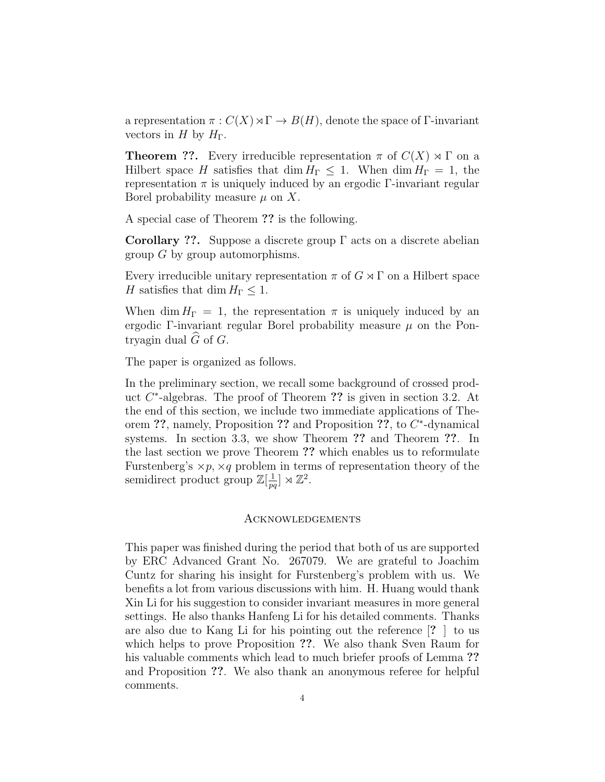a representation  $\pi: C(X) \rtimes \Gamma \to B(H)$ , denote the space of Γ-invariant vectors in H by  $H_{\Gamma}$ .

**Theorem ??.** Every irreducible representation  $\pi$  of  $C(X) \rtimes \Gamma$  on a Hilbert space H satisfies that dim  $H_{\Gamma} \leq 1$ . When dim  $H_{\Gamma} = 1$ , the representation π is uniquely induced by an ergodic  $Γ$ -invariant regular Borel probability measure  $\mu$  on X.

A special case of Theorem ?? is the following.

Corollary ??. Suppose a discrete group  $\Gamma$  acts on a discrete abelian group  $G$  by group automorphisms.

Every irreducible unitary representation  $\pi$  of  $G \rtimes \Gamma$  on a Hilbert space H satisfies that dim  $H_{\Gamma} \leq 1$ .

When dim  $H_{\Gamma} = 1$ , the representation  $\pi$  is uniquely induced by an ergodic Γ-invariant regular Borel probability measure  $\mu$  on the Pontryagin dual  $\widehat{G}$  of G.

The paper is organized as follows.

In the preliminary section, we recall some background of crossed product  $C^*$ -algebras. The proof of Theorem ?? is given in section 3.2. At the end of this section, we include two immediate applications of Theorem ??, namely, Proposition ?? and Proposition ??, to  $C^*$ -dynamical systems. In section 3.3, we show Theorem ?? and Theorem ??. In the last section we prove Theorem ?? which enables us to reformulate Furstenberg's  $\times p$ ,  $\times q$  problem in terms of representation theory of the semidirect product group  $\mathbb{Z}[\frac{1}{n}]$  $\frac{1}{pq}]\rtimes\mathbb{Z}^2.$ 

## Acknowledgements

This paper was finished during the period that both of us are supported by ERC Advanced Grant No. 267079. We are grateful to Joachim Cuntz for sharing his insight for Furstenberg's problem with us. We benefits a lot from various discussions with him. H. Huang would thank Xin Li for his suggestion to consider invariant measures in more general settings. He also thanks Hanfeng Li for his detailed comments. Thanks are also due to Kang Li for his pointing out the reference [? ] to us which helps to prove Proposition ??. We also thank Sven Raum for his valuable comments which lead to much briefer proofs of Lemma ?? and Proposition ??. We also thank an anonymous referee for helpful comments.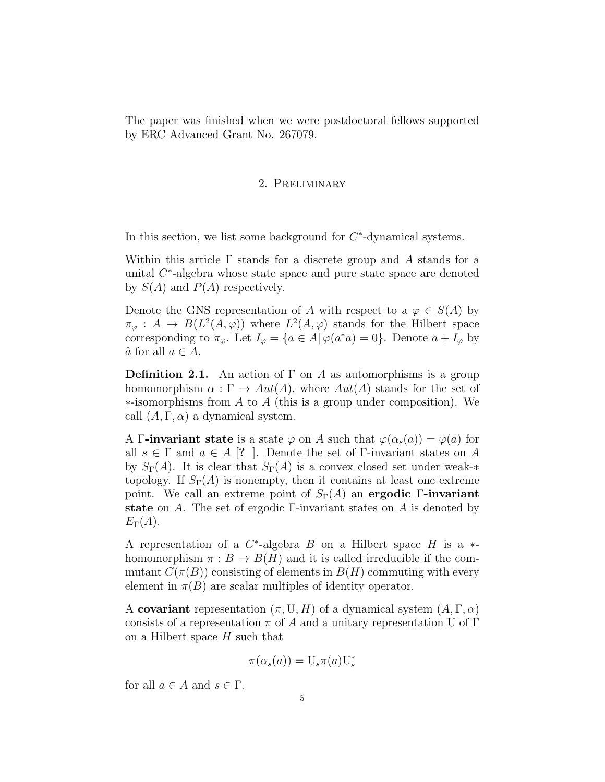The paper was finished when we were postdoctoral fellows supported by ERC Advanced Grant No. 267079.

## 2. Preliminary

In this section, we list some background for  $C^*$ -dynamical systems.

Within this article  $\Gamma$  stands for a discrete group and A stands for a unital  $C^*$ -algebra whose state space and pure state space are denoted by  $S(A)$  and  $P(A)$  respectively.

Denote the GNS representation of A with respect to a  $\varphi \in S(A)$  by  $\pi_{\varphi}: A \to B(L^2(A, \varphi))$  where  $L^2(A, \varphi)$  stands for the Hilbert space corresponding to  $\pi_{\varphi}$ . Let  $I_{\varphi} = \{a \in A | \varphi(a^*a) = 0\}$ . Denote  $a + I_{\varphi}$  by  $\hat{a}$  for all  $a \in A$ .

**Definition 2.1.** An action of  $\Gamma$  on A as automorphisms is a group homomorphism  $\alpha : \Gamma \to Aut(A)$ , where  $Aut(A)$  stands for the set of  $*$ -isomorphisms from A to A (this is a group under composition). We call  $(A, \Gamma, \alpha)$  a dynamical system.

A Γ-invariant state is a state  $\varphi$  on A such that  $\varphi(\alpha_s(a)) = \varphi(a)$  for all  $s \in \Gamma$  and  $a \in A$  [? ]. Denote the set of Γ-invariant states on A by  $S_{\Gamma}(A)$ . It is clear that  $S_{\Gamma}(A)$  is a convex closed set under weak-\* topology. If  $S_{\Gamma}(A)$  is nonempty, then it contains at least one extreme point. We call an extreme point of  $S_{\Gamma}(A)$  an ergodic Γ-invariant state on A. The set of ergodic Γ-invariant states on A is denoted by  $E_{\Gamma}(A)$ .

A representation of a  $C^*$ -algebra B on a Hilbert space H is a  $*$ homomorphism  $\pi : B \to B(H)$  and it is called irreducible if the commutant  $C(\pi(B))$  consisting of elements in  $B(H)$  commuting with every element in  $\pi(B)$  are scalar multiples of identity operator.

A covariant representation  $(\pi, U, H)$  of a dynamical system  $(A, \Gamma, \alpha)$ consists of a representation  $\pi$  of A and a unitary representation U of  $\Gamma$ on a Hilbert space  $H$  such that

$$
\pi(\alpha_s(a)) = \mathbf{U}_s \pi(a) \mathbf{U}_s^*
$$

for all  $a \in A$  and  $s \in \Gamma$ .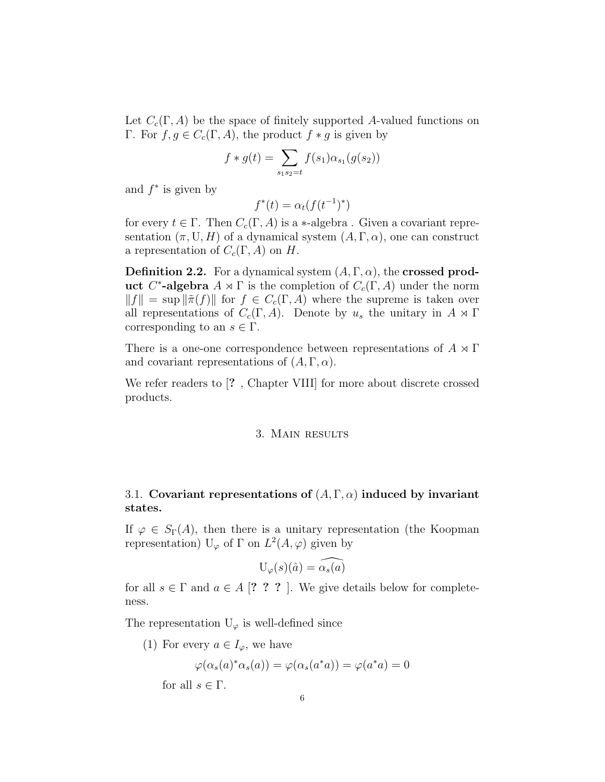Let  $C_c(\Gamma, A)$  be the space of finitely supported A-valued functions on Γ. For  $f, g \in C_c(\Gamma, A)$ , the product  $f * g$  is given by

$$
f * g(t) = \sum_{s_1 s_2 = t} f(s_1) \alpha_{s_1}(g(s_2))
$$

and  $f^*$  is given by

$$
f^*(t) = \alpha_t(f(t^{-1})^*)
$$

for every  $t \in \Gamma$ . Then  $C_c(\Gamma, A)$  is a  $\ast$ -algebra. Given a covariant representation  $(\pi, U, H)$  of a dynamical system  $(A, \Gamma, \alpha)$ , one can construct a representation of  $C_c(\Gamma, A)$  on H.

**Definition 2.2.** For a dynamical system  $(A, \Gamma, \alpha)$ , the **crossed prod**uct C<sup>\*</sup>-algebra  $A \rtimes \Gamma$  is the completion of  $C_c(\Gamma, A)$  under the norm  $||f|| = \sup ||\tilde{\pi}(f)||$  for  $f \in C_c(\Gamma, A)$  where the supreme is taken over all representations of  $C_c(\Gamma, A)$ . Denote by  $u_s$  the unitary in  $A \rtimes \Gamma$ corresponding to an  $s \in \Gamma$ .

There is a one-one correspondence between representations of  $A \rtimes \Gamma$ and covariant representations of  $(A, \Gamma, \alpha)$ .

We refer readers to [? , Chapter VIII] for more about discrete crossed products.

## 3. Main results

## 3.1. Covariant representations of  $(A, \Gamma, \alpha)$  induced by invariant states.

If  $\varphi \in S_{\Gamma}(A)$ , then there is a unitary representation (the Koopman representation)  $U_{\varphi}$  of  $\Gamma$  on  $L^2(A, \varphi)$  given by

$$
\mathcal{U}_\varphi(s)(\hat{a}) = \widehat{\alpha_s(a)}
$$

for all  $s \in \Gamma$  and  $a \in A$  [? ? ? ]. We give details below for completeness.

The representation  $U_{\varphi}$  is well-defined since

(1) For every  $a \in I_{\varphi}$ , we have

$$
\varphi(\alpha_s(a)^*\alpha_s(a)) = \varphi(\alpha_s(a^*a)) = \varphi(a^*a) = 0
$$

for all  $s \in \Gamma$ .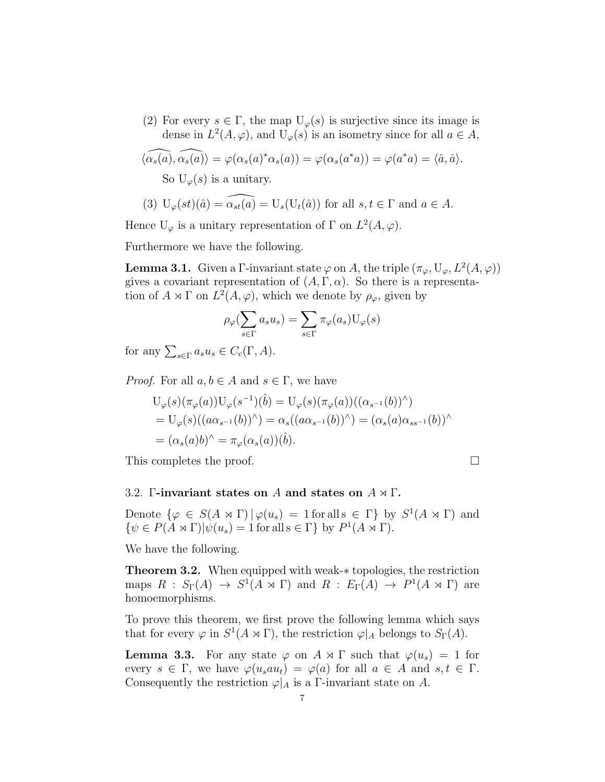(2) For every  $s \in \Gamma$ , the map  $U_{\varphi}(s)$  is surjective since its image is dense in  $L^2(A,\varphi)$ , and  $U_{\varphi}(s)$  is an isometry since for all  $a \in A$ ,

$$
\langle \widehat{\alpha_s(a)}, \widehat{\alpha_s(a)} \rangle = \varphi(\alpha_s(a)^* \alpha_s(a)) = \varphi(\alpha_s(a^*a)) = \varphi(a^*a) = \langle \hat{a}, \hat{a} \rangle.
$$
  
So  $U_{\varphi}(s)$  is a unitary.

(3) 
$$
U_{\varphi}(st)(\hat{a}) = \widehat{\alpha_{st}(a)} = U_s(U_t(\hat{a}))
$$
 for all  $s, t \in \Gamma$  and  $a \in A$ .

Hence  $U_{\varphi}$  is a unitary representation of  $\Gamma$  on  $L^2(A, \varphi)$ .

Furthermore we have the following.

**Lemma 3.1.** Given a Γ-invariant state  $\varphi$  on A, the triple  $(\pi_{\varphi}, \mathbf{U}_{\varphi}, L^2(A, \varphi))$ gives a covariant representation of  $(A, \Gamma, \alpha)$ . So there is a representation of  $A \rtimes \Gamma$  on  $L^2(A, \varphi)$ , which we denote by  $\rho_{\varphi}$ , given by

$$
\rho_{\varphi}(\sum_{s \in \Gamma} a_s u_s) = \sum_{s \in \Gamma} \pi_{\varphi}(a_s) \mathcal{U}_{\varphi}(s)
$$

for any  $\sum_{s \in \Gamma} a_s u_s \in C_c(\Gamma, A)$ .

*Proof.* For all  $a, b \in A$  and  $s \in \Gamma$ , we have

$$
U_{\varphi}(s)(\pi_{\varphi}(a))U_{\varphi}(s^{-1})(\hat{b}) = U_{\varphi}(s)(\pi_{\varphi}(a))((\alpha_{s^{-1}}(b))^{\wedge})
$$
  
=  $U_{\varphi}(s)((a\alpha_{s^{-1}}(b))^{\wedge}) = \alpha_s((a\alpha_{s^{-1}}(b))^{\wedge}) = (\alpha_s(a)\alpha_{ss^{-1}}(b))^{\wedge}$   
=  $(\alpha_s(a)b)^{\wedge} = \pi_{\varphi}(\alpha_s(a))(\hat{b}).$ 

This completes the proof.

### 3.2. Γ-invariant states on A and states on  $A \rtimes \Gamma$ .

Denote  $\{\varphi \in S(A \rtimes \Gamma) | \varphi(u_s) = 1 \text{ for all } s \in \Gamma \}$  by  $S^1(A \rtimes \Gamma)$  and  $\{\psi \in P(A \rtimes \Gamma) | \psi(u_s) = 1 \text{ for all } s \in \Gamma\}$  by  $P^1(A \rtimes \Gamma)$ .

We have the following.

Theorem 3.2. When equipped with weak-∗ topologies, the restriction maps  $R : S_{\Gamma}(A) \to S^{1}(A \rtimes \Gamma)$  and  $R : E_{\Gamma}(A) \to P^{1}(A \rtimes \Gamma)$  are homoemorphisms.

To prove this theorem, we first prove the following lemma which says that for every  $\varphi$  in  $S^1(A \rtimes \Gamma)$ , the restriction  $\varphi|_A$  belongs to  $S_{\Gamma}(A)$ .

**Lemma 3.3.** For any state  $\varphi$  on  $A \rtimes \Gamma$  such that  $\varphi(u_s) = 1$  for every  $s \in \Gamma$ , we have  $\varphi(u_s a u_t) = \varphi(a)$  for all  $a \in A$  and  $s, t \in \Gamma$ . Consequently the restriction  $\varphi|_A$  is a Γ-invariant state on A.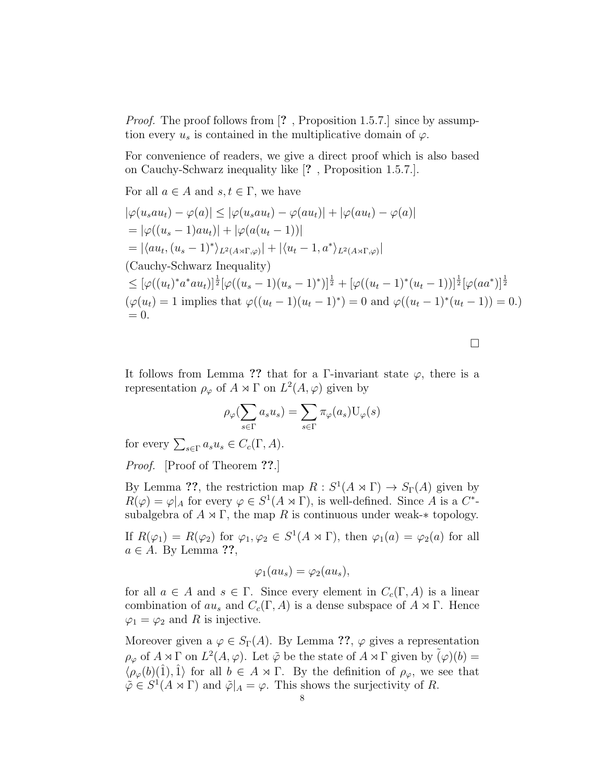*Proof.* The proof follows from [?, Proposition 1.5.7.] since by assumption every  $u_s$  is contained in the multiplicative domain of  $\varphi$ .

For convenience of readers, we give a direct proof which is also based on Cauchy-Schwarz inequality like [? , Proposition 1.5.7.].

For all  $a \in A$  and  $s, t \in \Gamma$ , we have

$$
|\varphi(u_s au_t) - \varphi(a)| \le |\varphi(u_s au_t) - \varphi(au_t)| + |\varphi(au_t) - \varphi(a)|
$$
  
=  $|\varphi((u_s - 1)au_t)| + |\varphi(a(u_t - 1))|$   
=  $|\langle au_t, (u_s - 1)^* \rangle_{L^2(A \rtimes \Gamma, \varphi)}| + |\langle u_t - 1, a^* \rangle_{L^2(A \rtimes \Gamma, \varphi)}|$   
(Cauchy-Schwarz Inequality)  
 $\le [\varphi((u_t)^* a^* au_t)]^{\frac{1}{2}} [\varphi((u_s - 1)(u_s - 1)^*)]^{\frac{1}{2}} + [\varphi((u_t - 1)^*(u_t - 1))]^{\frac{1}{2}} [\varphi(aa^*)]^{\frac{1}{2}}$   
 $(\varphi(u_t) = 1$  implies that  $\varphi((u_t - 1)(u_t - 1)^*) = 0$  and  $\varphi((u_t - 1)^*(u_t - 1)) = 0$ .)  
= 0.

 $\Box$ 

It follows from Lemma ?? that for a Γ-invariant state  $\varphi$ , there is a representation  $\rho_{\varphi}$  of  $A \rtimes \Gamma$  on  $L^2(A, \varphi)$  given by

$$
\rho_{\varphi}(\sum_{s \in \Gamma} a_s u_s) = \sum_{s \in \Gamma} \pi_{\varphi}(a_s) \mathcal{U}_{\varphi}(s)
$$

for every  $\sum_{s\in\Gamma} a_s u_s \in C_c(\Gamma, A)$ .

Proof. [Proof of Theorem ??.]

By Lemma ??, the restriction map  $R: S^1(A \rtimes \Gamma) \to S_{\Gamma}(A)$  given by  $R(\varphi) = \varphi|_A$  for every  $\varphi \in S^1(A \rtimes \Gamma)$ , is well-defined. Since A is a  $C^*$ subalgebra of  $A \rtimes \Gamma$ , the map R is continuous under weak- $*$  topology.

If  $R(\varphi_1) = R(\varphi_2)$  for  $\varphi_1, \varphi_2 \in S^1(A \rtimes \Gamma)$ , then  $\varphi_1(a) = \varphi_2(a)$  for all  $a \in A$ . By Lemma ??,

$$
\varphi_1(au_s) = \varphi_2(au_s),
$$

for all  $a \in A$  and  $s \in \Gamma$ . Since every element in  $C_c(\Gamma, A)$  is a linear combination of  $au_s$  and  $C_c(\Gamma, A)$  is a dense subspace of  $A \rtimes \Gamma$ . Hence  $\varphi_1 = \varphi_2$  and R is injective.

Moreover given a  $\varphi \in S_{\Gamma}(A)$ . By Lemma ??,  $\varphi$  gives a representation  $\rho_{\varphi}$  of  $A \rtimes \Gamma$  on  $L^2(A, \varphi)$ . Let  $\tilde{\varphi}$  be the state of  $A \rtimes \Gamma$  given by  $\tilde{(\varphi)}(b) =$  $\langle \rho_{\varphi}(b)(1), 1 \rangle$  for all  $b \in A \rtimes \Gamma$ . By the definition of  $\rho_{\varphi}$ , we see that  $\tilde{\varphi} \in S^1(A \rtimes \Gamma)$  and  $\tilde{\varphi}|_A = \varphi$ . This shows the surjectivity of R.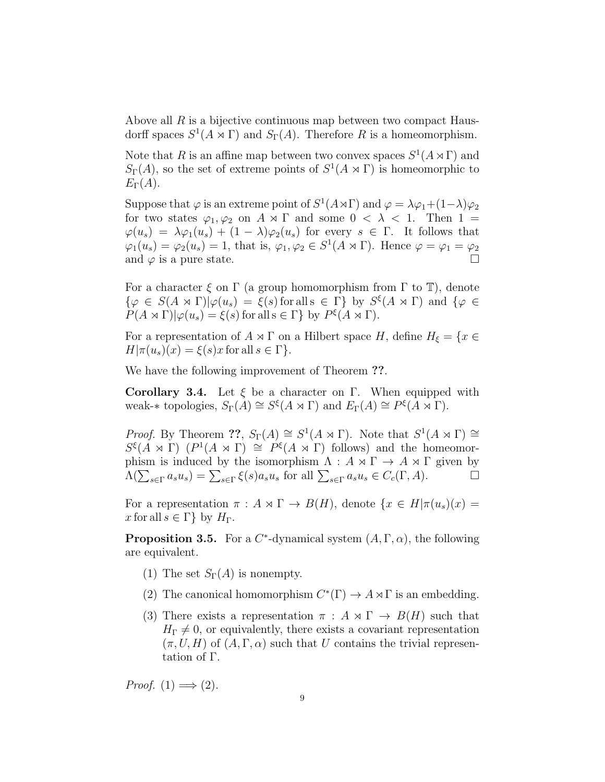Above all  $R$  is a bijective continuous map between two compact Hausdorff spaces  $S^1(A \times \Gamma)$  and  $S_{\Gamma}(A)$ . Therefore R is a homeomorphism.

Note that R is an affine map between two convex spaces  $S^1(A \rtimes \Gamma)$  and  $S_{\Gamma}(A)$ , so the set of extreme points of  $S^1(A \rtimes \Gamma)$  is homeomorphic to  $E_{\Gamma}(A)$ .

Suppose that  $\varphi$  is an extreme point of  $S^1(A \rtimes \Gamma)$  and  $\varphi = \lambda \varphi_1 + (1 - \lambda) \varphi_2$ for two states  $\varphi_1, \varphi_2$  on  $A \rtimes \Gamma$  and some  $0 < \lambda < 1$ . Then  $1 =$  $\varphi(u_s) = \lambda \varphi_1(u_s) + (1 - \lambda) \varphi_2(u_s)$  for every  $s \in \Gamma$ . It follows that  $\varphi_1(u_s) = \varphi_2(u_s) = 1$ , that is,  $\varphi_1, \varphi_2 \in S^1(A \rtimes \Gamma)$ . Hence  $\varphi = \varphi_1 = \varphi_2$ and  $\varphi$  is a pure state.

For a character  $\xi$  on  $\Gamma$  (a group homomorphism from  $\Gamma$  to  $\mathbb T$ ), denote  $\{\varphi \in S(A \rtimes \Gamma) | \varphi(u_s) = \tilde{\xi}(s) \text{ for all } s \in \Gamma \}$  by  $S^{\xi}(A \rtimes \Gamma)$  and  $\{\varphi \in \tilde{\xi}(A) \text{ and } s \in \Gamma \}$  $P(A \rtimes \Gamma)|\varphi(u_s) = \xi(s)$  for all  $s \in \Gamma\}$  by  $P^{\xi}(A \rtimes \Gamma)$ .

For a representation of  $A \rtimes \Gamma$  on a Hilbert space H, define  $H_{\xi} = \{x \in$  $H|\pi(u_s)(x) = \xi(s)x$  for all  $s \in \Gamma$ .

We have the following improvement of Theorem ??.

Corollary 3.4. Let  $\xi$  be a character on Γ. When equipped with weak-\* topologies,  $S_{\Gamma}(A) \cong S^{\xi}(A \rtimes \Gamma)$  and  $E_{\Gamma}(A) \cong P^{\xi}(A \rtimes \Gamma)$ .

*Proof.* By Theorem ??,  $S_{\Gamma}(A) \cong S^1(A \rtimes \Gamma)$ . Note that  $S^1(A \rtimes \Gamma) \cong$  $S^{\xi}(\mathring{A} \rtimes \Gamma)$  ( $P^1(A \rtimes \Gamma) \cong P^{\xi}(A \rtimes \Gamma)$  follows) and the homeomorphism is induced by the isomorphism  $\Lambda : A \rtimes \Gamma \to A \rtimes \Gamma$  given by  $\Lambda(\sum_{s\in\Gamma}a_s u_s)=\sum_{s\in\Gamma}\xi(s)a_s u_s$  for all  $\sum_{s\in\Gamma}a_s u_s\in C_c(\Gamma,A).$ 

For a representation  $\pi : A \rtimes \Gamma \to B(H)$ , denote  $\{x \in H | \pi(u_s)(x) =$ x for all  $s \in \Gamma$  by  $H_{\Gamma}$ .

**Proposition 3.5.** For a  $C^*$ -dynamical system  $(A, \Gamma, \alpha)$ , the following are equivalent.

- (1) The set  $S_{\Gamma}(A)$  is nonempty.
- (2) The canonical homomorphism  $C^*(\Gamma) \to A \rtimes \Gamma$  is an embedding.
- (3) There exists a representation  $\pi : A \rtimes \Gamma \to B(H)$  such that  $H_{\Gamma} \neq 0$ , or equivalently, there exists a covariant representation  $(\pi, U, H)$  of  $(A, \Gamma, \alpha)$  such that U contains the trivial representation of Γ.

*Proof.*  $(1) \implies (2)$ .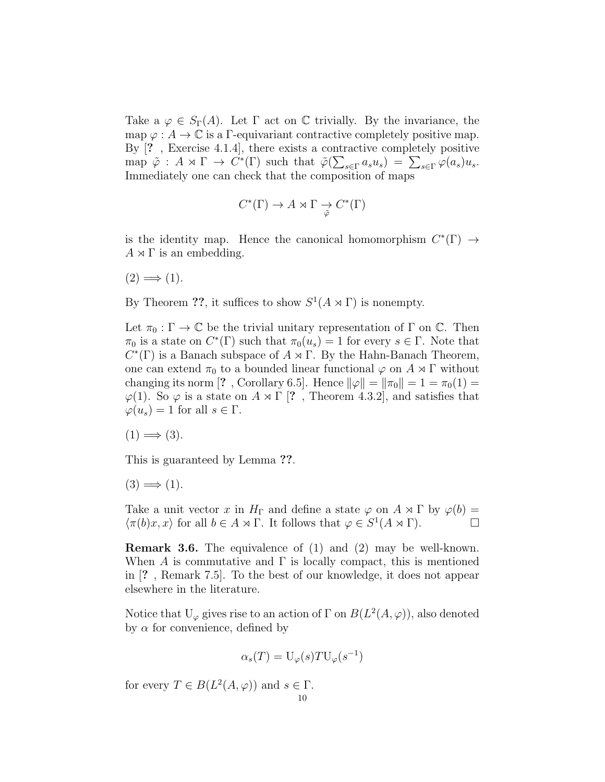Take a  $\varphi \in S_{\Gamma}(A)$ . Let  $\Gamma$  act on  $\mathbb C$  trivially. By the invariance, the map  $\varphi: A \to \mathbb{C}$  is a  $\Gamma$ -equivariant contractive completely positive map. By [? , Exercise 4.1.4], there exists a contractive completely positive map  $\tilde{\varphi}: A \rtimes \Gamma \to C^*(\Gamma)$  such that  $\tilde{\varphi}(\sum_{s \in \Gamma} a_s u_s) = \sum_{s \in \Gamma} \varphi(a_s) u_s$ . Immediately one can check that the composition of maps

$$
C^*(\Gamma) \to A \rtimes \Gamma \underset{\tilde{\varphi}}{\to} C^*(\Gamma)
$$

is the identity map. Hence the canonical homomorphism  $C^*(\Gamma) \rightarrow$  $A \rtimes \Gamma$  is an embedding.

 $(2) \Longrightarrow (1).$ 

By Theorem ??, it suffices to show  $S^1(A \rtimes \Gamma)$  is nonempty.

Let  $\pi_0 : \Gamma \to \mathbb{C}$  be the trivial unitary representation of  $\Gamma$  on  $\mathbb{C}$ . Then  $\pi_0$  is a state on  $C^*(\Gamma)$  such that  $\pi_0(u_s) = 1$  for every  $s \in \Gamma$ . Note that  $C^*(\Gamma)$  is a Banach subspace of  $A \rtimes \Gamma$ . By the Hahn-Banach Theorem, one can extend  $\pi_0$  to a bounded linear functional  $\varphi$  on  $A \rtimes \Gamma$  without changing its norm [?, Corollary 6.5]. Hence  $\|\varphi\| = \|\pi_0\| = 1 = \pi_0(1)$  $\varphi(1)$ . So  $\varphi$  is a state on  $A \rtimes \Gamma$  [?, Theorem 4.3.2], and satisfies that  $\varphi(u_s) = 1$  for all  $s \in \Gamma$ .

 $(1) \Longrightarrow (3).$ 

This is guaranteed by Lemma ??.

 $(3) \Longrightarrow (1).$ 

Take a unit vector x in  $H_{\Gamma}$  and define a state  $\varphi$  on  $A \rtimes \Gamma$  by  $\varphi(b) =$  $\langle \pi(b)x, x \rangle$  for all  $b \in A \rtimes \Gamma$ . It follows that  $\varphi \in S^1(A \rtimes \Gamma)$ .

Remark 3.6. The equivalence of (1) and (2) may be well-known. When A is commutative and  $\Gamma$  is locally compact, this is mentioned in [? , Remark 7.5]. To the best of our knowledge, it does not appear elsewhere in the literature.

Notice that  $U_{\varphi}$  gives rise to an action of  $\Gamma$  on  $B(L^2(A, \varphi))$ , also denoted by  $\alpha$  for convenience, defined by

$$
\alpha_s(T) = U_{\varphi}(s) T U_{\varphi}(s^{-1})
$$

for every  $T \in B(L^2(A, \varphi))$  and  $s \in \Gamma$ .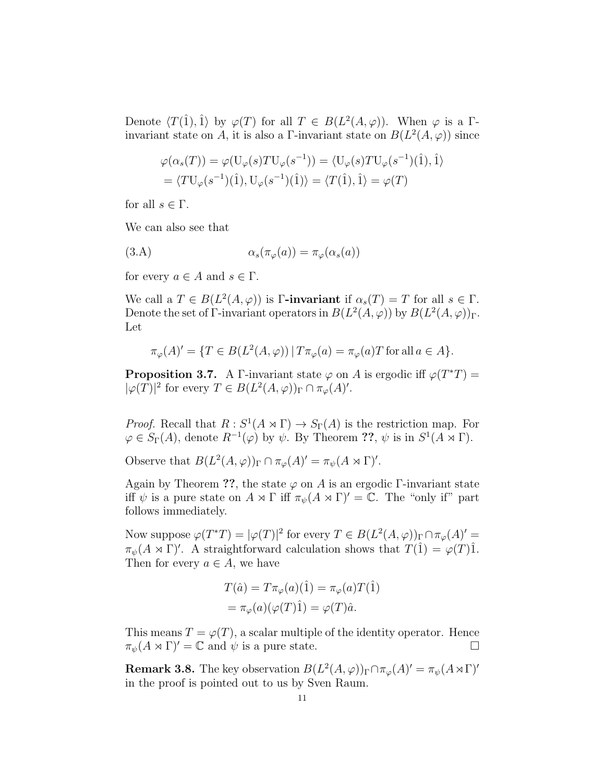Denote  $\langle T(\hat{1}), \hat{1} \rangle$  by  $\varphi(T)$  for all  $T \in B(L^2(A, \varphi))$ . When  $\varphi$  is a  $\Gamma$ invariant state on A, it is also a Γ-invariant state on  $B(L<sup>2</sup>(A, \varphi))$  since

$$
\varphi(\alpha_s(T)) = \varphi(U_{\varphi}(s)T U_{\varphi}(s^{-1})) = \langle U_{\varphi}(s)T U_{\varphi}(s^{-1})(\hat{1}), \hat{1} \rangle = \langle T U_{\varphi}(s^{-1})(\hat{1}), U_{\varphi}(s^{-1})(\hat{1}) \rangle = \langle T(\hat{1}), \hat{1} \rangle = \varphi(T)
$$

for all  $s \in \Gamma$ .

We can also see that

(3.A) 
$$
\alpha_s(\pi_\varphi(a)) = \pi_\varphi(\alpha_s(a))
$$

for every  $a \in A$  and  $s \in \Gamma$ .

We call a  $T \in B(L^2(A, \varphi))$  is  $\Gamma$ -invariant if  $\alpha_s(T) = T$  for all  $s \in \Gamma$ . Denote the set of Γ-invariant operators in  $B(L^2(A, \varphi))$  by  $B(L^2(A, \varphi))$ <sub>Γ</sub>. Let

$$
\pi_{\varphi}(A)' = \{ T \in B(L^{2}(A, \varphi)) \mid T\pi_{\varphi}(a) = \pi_{\varphi}(a)T \text{ for all } a \in A \}.
$$

**Proposition 3.7.** A Γ-invariant state  $\varphi$  on A is ergodic iff  $\varphi(T^*T)$  =  $|\varphi(T)|^2$  for every  $T \in B(L^2(A, \varphi))_{\Gamma} \cap \pi_{\varphi}(A)'.$ 

*Proof.* Recall that  $R: S^1(A \rtimes \Gamma) \to S_{\Gamma}(A)$  is the restriction map. For  $\varphi \in S_{\Gamma}(A)$ , denote  $R^{-1}(\varphi)$  by  $\psi$ . By Theorem ??,  $\psi$  is in  $S^1(A \rtimes \Gamma)$ .

Observe that  $B(L^2(A, \varphi))_{\Gamma} \cap \pi_{\varphi}(A)' = \pi_{\psi}(A \rtimes \Gamma)'$ .

Again by Theorem ??, the state  $\varphi$  on A is an ergodic Γ-invariant state iff  $\psi$  is a pure state on  $A \rtimes \Gamma$  iff  $\pi_{\psi}(A \rtimes \Gamma)' = \mathbb{C}$ . The "only if" part follows immediately.

Now suppose  $\varphi(T^*T) = |\varphi(T)|^2$  for every  $T \in B(L^2(A, \varphi))_{\Gamma} \cap \pi_{\varphi}(A)' =$  $\pi_{\psi}(A \rtimes \Gamma)'$ . A straightforward calculation shows that  $T(\hat{1}) = \varphi(T)\hat{1}$ . Then for every  $a \in A$ , we have

$$
T(\hat{a}) = T\pi_{\varphi}(a)(\hat{1}) = \pi_{\varphi}(a)T(\hat{1})
$$

$$
= \pi_{\varphi}(a)(\varphi(T)\hat{1}) = \varphi(T)\hat{a}.
$$

This means  $T = \varphi(T)$ , a scalar multiple of the identity operator. Hence  $\pi_{\psi}(A \rtimes \Gamma)' = \mathbb{C}$  and  $\psi$  is a pure state.

**Remark 3.8.** The key observation  $B(L^2(A, \varphi))_{\Gamma} \cap \pi_{\varphi}(A)' = \pi_{\psi}(A \rtimes \Gamma)'$ in the proof is pointed out to us by Sven Raum.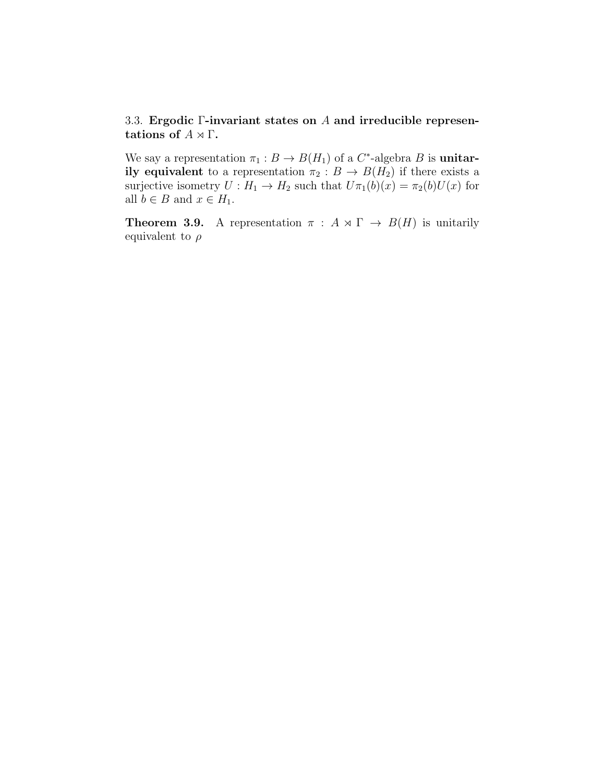# 3.3. Ergodic Γ-invariant states on A and irreducible representations of  $A \rtimes \Gamma$ .

We say a representation  $\pi_1 : B \to B(H_1)$  of a  $C^*$ -algebra B is **unitar**ily equivalent to a representation  $\pi_2 : B \to B(H_2)$  if there exists a surjective isometry  $U : H_1 \to H_2$  such that  $U\pi_1(b)(x) = \pi_2(b)U(x)$  for all  $b \in B$  and  $x \in H_1$ .

**Theorem 3.9.** A representation  $\pi$  :  $A \rtimes \Gamma \rightarrow B(H)$  is unitarily equivalent to  $\rho$ 

 $A \rtimes \Gamma$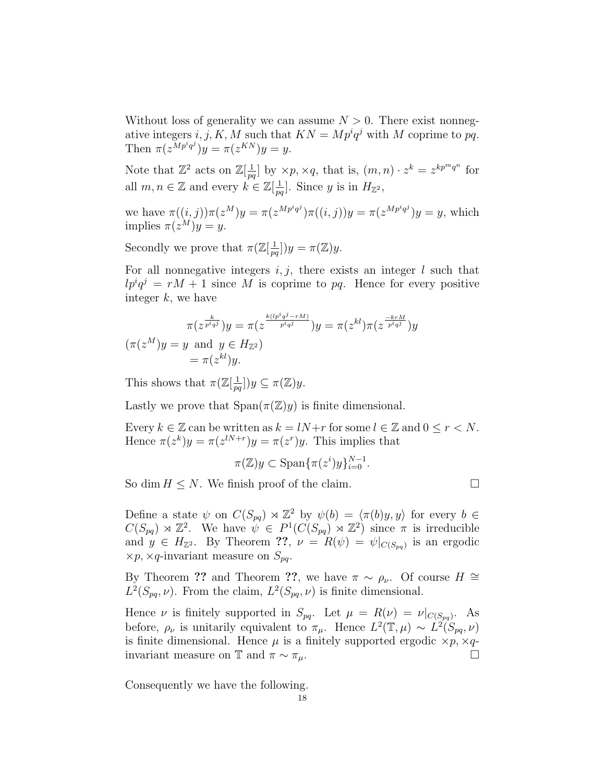Without loss of generality we can assume  $N > 0$ . There exist nonnegative integers i, j, K, M such that  $KN = Mp^i q^j$  with M coprime to pq. Then  $\pi(z^{Mp^iq^j})y = \pi(z^{KN})y = y$ .

Note that  $\mathbb{Z}^2$  acts on  $\mathbb{Z}[\frac{1}{n}]$  $\frac{1}{pq}$  by  $\times p$ ,  $\times q$ , that is,  $(m, n) \cdot z^k = z^{kp^mq^n}$  for all  $m, n \in \mathbb{Z}$  and every  $k \in \mathbb{Z}[\frac{1}{n}]$  $\frac{1}{pq}$ . Since y is in  $H_{\mathbb{Z}^2}$ ,

we have  $\pi((i, j))\pi(z^M)y = \pi(z^{Mp^iq^j})\pi((i, j))y = \pi(z^{Mp^iq^j})y = y$ , which implies  $\pi(z^M)y = y$ .

Secondly we prove that  $\pi(\mathbb{Z}[\frac{1}{n}]$  $\frac{1}{pq}$ ]) $y = \pi(\mathbb{Z})y$ .

For all nonnegative integers  $i, j$ , there exists an integer l such that  $lp^i q^j = rM + 1$  since M is coprime to pq. Hence for every positive integer  $k$ , we have

$$
\pi(z^{\frac{k}{p^iq^j}})y = \pi(z^{\frac{k(lp^iq^j - rM)}{p^iq^j}})y = \pi(z^{kl})\pi(z^{\frac{-krM}{p^iq^j}})y
$$
  

$$
= \pi(z^{kl})y.
$$
  

$$
= \pi(z^{kl})y.
$$

This shows that  $\pi(\mathbb{Z}[\frac{1}{n}]$  $\frac{1}{pq}$ ]) $y \subseteq \pi(\mathbb{Z})y$ .

 $(\pi(z$ 

Lastly we prove that  $Span(\pi(\mathbb{Z})y)$  is finite dimensional.

Every  $k \in \mathbb{Z}$  can be written as  $k = lN+r$  for some  $l \in \mathbb{Z}$  and  $0 \leq r < N$ . Hence  $\pi(z^k)y = \pi(z^{lN+r})y = \pi(z^r)y$ . This implies that

$$
\pi(\mathbb{Z})y\subset \mathrm{Span}\{\pi(z^i)y\}_{i=0}^{N-1}.
$$

So dim  $H \leq N$ . We finish proof of the claim.

Define a state  $\psi$  on  $C(S_{pq}) \rtimes \mathbb{Z}^2$  by  $\psi(b) = \langle \pi(b)y, y \rangle$  for every  $b \in \mathbb{Z}$  $C(S_{pq}) \rtimes \mathbb{Z}^2$ . We have  $\psi \in P^1(C(S_{pq}) \rtimes \mathbb{Z}^2)$  since  $\pi$  is irreducible and  $y \in H_{\mathbb{Z}^2}$ . By Theorem ??,  $\nu = R(\psi) = \psi|_{C(S_{pq})}$  is an ergodic  $\times p$ ,  $\times q$ -invariant measure on  $S_{pq}$ .

By Theorem ?? and Theorem ??, we have  $\pi \sim \rho_{\nu}$ . Of course  $H \cong$  $L^2(S_{pq}, \nu)$ . From the claim,  $L^2(S_{pq}, \nu)$  is finite dimensional.

Hence  $\nu$  is finitely supported in  $S_{pq}$ . Let  $\mu = R(\nu) = \nu|_{C(S_{pq})}$ . As before,  $\rho_{\nu}$  is unitarily equivalent to  $\pi_{\mu}$ . Hence  $L^2(\mathbb{T}, \mu) \sim L^2(S_{pq}, \nu)$ is finite dimensional. Hence  $\mu$  is a finitely supported ergodic  $\times p$ ,  $\times q$ invariant measure on T and  $\pi \sim \pi_{\mu}$ .

Consequently we have the following.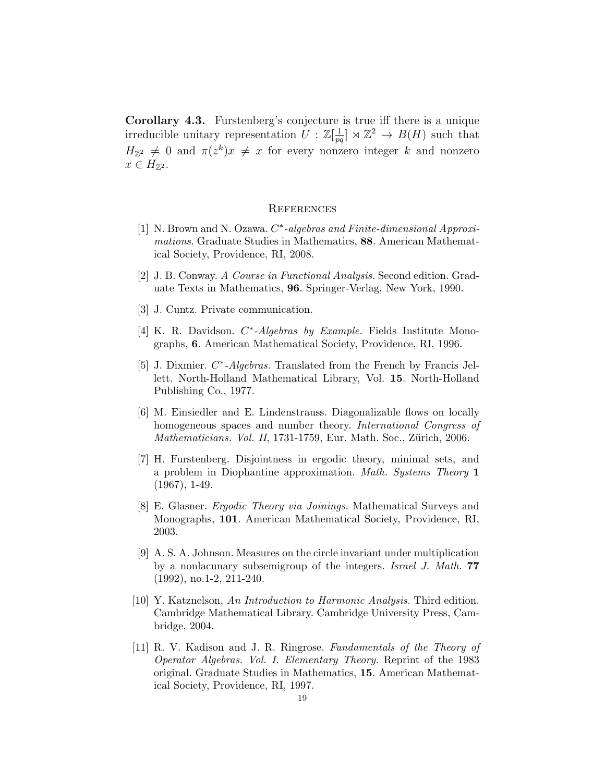Corollary 4.3. Furstenberg's conjecture is true iff there is a unique irreducible unitary representation  $\tilde{U}$  :  $\mathbb{Z}[\frac{1}{n}]$  $\frac{1}{pq}$   $\vert \times \mathbb{Z}^2 \to B(H)$  such that  $H_{\mathbb{Z}^2} \neq 0$  and  $\pi(z^k)x \neq x$  for every nonzero integer k and nonzero  $x \in H_{\mathbb{Z}^2}$ .

## **REFERENCES**

- [1] N. Brown and N. Ozawa.  $C^*$ -algebras and Finite-dimensional Approximations. Graduate Studies in Mathematics, 88. American Mathematical Society, Providence, RI, 2008.
- [2] J. B. Conway. A Course in Functional Analysis. Second edition. Graduate Texts in Mathematics, 96. Springer-Verlag, New York, 1990.
- [3] J. Cuntz. Private communication.
- [4] K. R. Davidson. C\*-Algebras by Example. Fields Institute Monographs, 6. American Mathematical Society, Providence, RI, 1996.
- [5] J. Dixmier. C<sup>\*</sup>-Algebras. Translated from the French by Francis Jellett. North-Holland Mathematical Library, Vol. 15. North-Holland Publishing Co., 1977.
- [6] M. Einsiedler and E. Lindenstrauss. Diagonalizable flows on locally homogeneous spaces and number theory. *International Congress of* Mathematicians. Vol. II, 1731-1759, Eur. Math. Soc., Zürich, 2006.
- [7] H. Furstenberg. Disjointness in ergodic theory, minimal sets, and a problem in Diophantine approximation. Math. Systems Theory 1 (1967), 1-49.
- [8] E. Glasner. Ergodic Theory via Joinings. Mathematical Surveys and Monographs, 101. American Mathematical Society, Providence, RI, 2003.
- [9] A. S. A. Johnson. Measures on the circle invariant under multiplication by a nonlacunary subsemigroup of the integers. Israel J. Math. 77 (1992), no.1-2, 211-240.
- [10] Y. Katznelson, An Introduction to Harmonic Analysis. Third edition. Cambridge Mathematical Library. Cambridge University Press, Cambridge, 2004.
- [11] R. V. Kadison and J. R. Ringrose. Fundamentals of the Theory of Operator Algebras. Vol. I. Elementary Theory. Reprint of the 1983 original. Graduate Studies in Mathematics, 15. American Mathematical Society, Providence, RI, 1997.